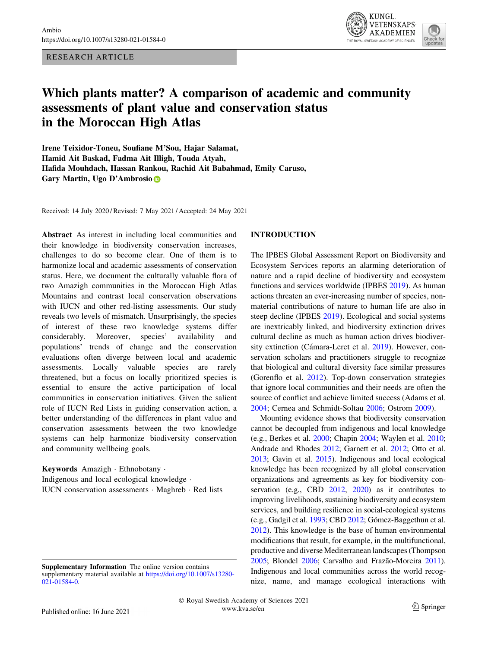RESEARCH ARTICLE



# Which plants matter? A comparison of academic and community assessments of plant value and conservation status in the Moroccan High Atlas

Irene Teixidor-Toneu, Soufiane M'Sou, Hajar Salamat, Hamid Ait Baskad, Fadma Ait Illigh, Touda Atyah, Hafida Mouhdach, Hassan Rankou, Rachid Ait Babahmad, Emily Caruso, Gary Martin, Ugo D'Ambrosi[o](http://orcid.org/0000-0002-5231-1762)

Received: 14 July 2020 / Revised: 7 May 2021 / Accepted: 24 May 2021

Abstract As interest in including local communities and their knowledge in biodiversity conservation increases, challenges to do so become clear. One of them is to harmonize local and academic assessments of conservation status. Here, we document the culturally valuable flora of two Amazigh communities in the Moroccan High Atlas Mountains and contrast local conservation observations with IUCN and other red-listing assessments. Our study reveals two levels of mismatch. Unsurprisingly, the species of interest of these two knowledge systems differ considerably. Moreover, species' availability and populations' trends of change and the conservation evaluations often diverge between local and academic assessments. Locally valuable species are rarely threatened, but a focus on locally prioritized species is essential to ensure the active participation of local communities in conservation initiatives. Given the salient role of IUCN Red Lists in guiding conservation action, a better understanding of the differences in plant value and conservation assessments between the two knowledge systems can help harmonize biodiversity conservation and community wellbeing goals.

Keywords Amazigh - Ethnobotany - Indigenous and local ecological knowledge - IUCN conservation assessments - Maghreb - Red lists

#### INTRODUCTION

The IPBES Global Assessment Report on Biodiversity and Ecosystem Services reports an alarming deterioration of nature and a rapid decline of biodiversity and ecosystem functions and services worldwide (IPBES [2019](#page-9-0)). As human actions threaten an ever-increasing number of species, nonmaterial contributions of nature to human life are also in steep decline (IPBES [2019\)](#page-9-0). Ecological and social systems are inextricably linked, and biodiversity extinction drives cultural decline as much as human action drives biodiver-sity extinction (Cámara-Leret et al. [2019](#page-9-0)). However, conservation scholars and practitioners struggle to recognize that biological and cultural diversity face similar pressures (Gorenflo et al. [2012\)](#page-9-0). Top-down conservation strategies that ignore local communities and their needs are often the source of conflict and achieve limited success (Adams et al. [2004](#page-8-0); Cernea and Schmidt-Soltau [2006](#page-9-0); Ostrom [2009\)](#page-10-0).

Mounting evidence shows that biodiversity conservation cannot be decoupled from indigenous and local knowledge (e.g., Berkes et al. [2000](#page-9-0); Chapin [2004](#page-9-0); Waylen et al. [2010](#page-10-0); Andrade and Rhodes [2012;](#page-8-0) Garnett et al. [2012;](#page-9-0) Otto et al. [2013;](#page-10-0) Gavin et al. [2015](#page-9-0)). Indigenous and local ecological knowledge has been recognized by all global conservation organizations and agreements as key for biodiversity conservation (e.g., CBD [2012](#page-9-0), [2020\)](#page-9-0) as it contributes to improving livelihoods, sustaining biodiversity and ecosystem services, and building resilience in social-ecological systems (e.g., Gadgil et al. [1993](#page-9-0); CBD [2012](#page-9-0); Gómez-Baggethun et al. [2012\)](#page-9-0). This knowledge is the base of human environmental modifications that result, for example, in the multifunctional, productive and diverse Mediterranean landscapes (Thompson [2005;](#page-10-0) Blondel [2006;](#page-9-0) Carvalho and Frazão-Moreira [2011\)](#page-9-0). Indigenous and local communities across the world recognize, name, and manage ecological interactions with

Supplementary Information The online version contains supplementary material available at [https://doi.org/10.1007/s13280-](https://doi.org/10.1007/s13280-021-01584-0) [021-01584-0](https://doi.org/10.1007/s13280-021-01584-0).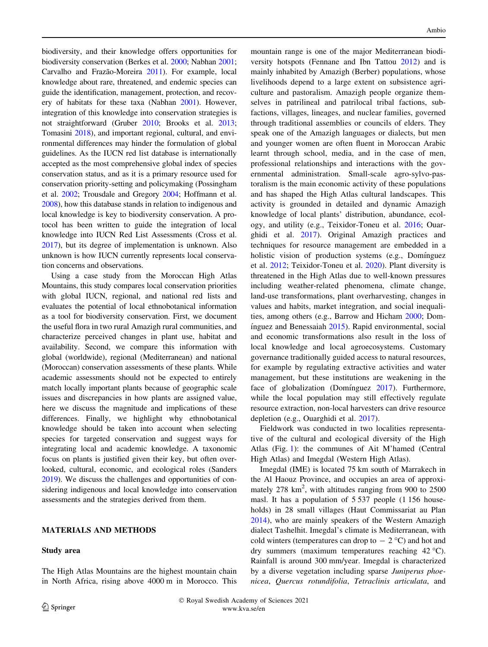biodiversity, and their knowledge offers opportunities for biodiversity conservation (Berkes et al. [2000](#page-9-0); Nabhan [2001](#page-10-0); Carvalho and Frazão-Moreira [2011\)](#page-9-0). For example, local knowledge about rare, threatened, and endemic species can guide the identification, management, protection, and recovery of habitats for these taxa (Nabhan [2001\)](#page-10-0). However, integration of this knowledge into conservation strategies is not straightforward (Gruber [2010](#page-9-0); Brooks et al. [2013](#page-9-0); Tomasini [2018\)](#page-10-0), and important regional, cultural, and environmental differences may hinder the formulation of global guidelines. As the IUCN red list database is internationally accepted as the most comprehensive global index of species conservation status, and as it is a primary resource used for conservation priority-setting and policymaking (Possingham et al. [2002;](#page-10-0) Trousdale and Gregory [2004](#page-10-0); Hoffmann et al. [2008\)](#page-9-0), how this database stands in relation to indigenous and local knowledge is key to biodiversity conservation. A protocol has been written to guide the integration of local knowledge into IUCN Red List Assessments (Cross et al. [2017\)](#page-9-0), but its degree of implementation is unknown. Also unknown is how IUCN currently represents local conservation concerns and observations.

Using a case study from the Moroccan High Atlas Mountains, this study compares local conservation priorities with global IUCN, regional, and national red lists and evaluates the potential of local ethnobotanical information as a tool for biodiversity conservation. First, we document the useful flora in two rural Amazigh rural communities, and characterize perceived changes in plant use, habitat and availability. Second, we compare this information with global (worldwide), regional (Mediterranean) and national (Moroccan) conservation assessments of these plants. While academic assessments should not be expected to entirely match locally important plants because of geographic scale issues and discrepancies in how plants are assigned value, here we discuss the magnitude and implications of these differences. Finally, we highlight why ethnobotanical knowledge should be taken into account when selecting species for targeted conservation and suggest ways for integrating local and academic knowledge. A taxonomic focus on plants is justified given their key, but often overlooked, cultural, economic, and ecological roles (Sanders [2019\)](#page-10-0). We discuss the challenges and opportunities of considering indigenous and local knowledge into conservation assessments and the strategies derived from them.

## MATERIALS AND METHODS

## Study area

The High Atlas Mountains are the highest mountain chain in North Africa, rising above 4000 m in Morocco. This

mountain range is one of the major Mediterranean biodiversity hotspots (Fennane and Ibn Tattou [2012](#page-9-0)) and is mainly inhabited by Amazigh (Berber) populations, whose livelihoods depend to a large extent on subsistence agriculture and pastoralism. Amazigh people organize themselves in patrilineal and patrilocal tribal factions, subfactions, villages, lineages, and nuclear families, governed through traditional assemblies or councils of elders. They speak one of the Amazigh languages or dialects, but men and younger women are often fluent in Moroccan Arabic learnt through school, media, and in the case of men, professional relationships and interactions with the governmental administration. Small-scale agro-sylvo-pastoralism is the main economic activity of these populations and has shaped the High Atlas cultural landscapes. This activity is grounded in detailed and dynamic Amazigh knowledge of local plants' distribution, abundance, ecology, and utility (e.g., Teixidor-Toneu et al. [2016;](#page-10-0) Ouarghidi et al. [2017](#page-10-0)). Original Amazigh practices and techniques for resource management are embedded in a holistic vision of production systems (e.g., Domínguez et al. [2012;](#page-9-0) Teixidor-Toneu et al. [2020](#page-10-0)). Plant diversity is threatened in the High Atlas due to well-known pressures including weather-related phenomena, climate change, land-use transformations, plant overharvesting, changes in values and habits, market integration, and social inequalities, among others (e.g., Barrow and Hicham [2000;](#page-9-0) Dom-  $'$ inguez and Benessaiah  $2015$ ). Rapid environmental, social and economic transformations also result in the loss of local knowledge and local agroecosystems. Customary governance traditionally guided access to natural resources, for example by regulating extractive activities and water management, but these institutions are weakening in the face of globalization (Dominguez [2017](#page-9-0)). Furthermore, while the local population may still effectively regulate resource extraction, non-local harvesters can drive resource depletion (e.g., Ouarghidi et al. [2017\)](#page-10-0).

Fieldwork was conducted in two localities representative of the cultural and ecological diversity of the High Atlas (Fig. [1\)](#page-2-0): the communes of Ait M'hamed (Central High Atlas) and Imegdal (Western High Atlas).

Imegdal (IME) is located 75 km south of Marrakech in the Al Haouz Province, and occupies an area of approximately 278 km<sup>2</sup>, with altitudes ranging from 900 to 2500 masl. It has a population of 5 537 people (1 156 households) in 28 small villages (Haut Commissariat au Plan [2014](#page-9-0)), who are mainly speakers of the Western Amazigh dialect Tashelhit. Imegdal's climate is Mediterranean, with cold winters (temperatures can drop to  $- 2 \degree C$ ) and hot and dry summers (maximum temperatures reaching 42 C). Rainfall is around 300 mm/year. Imegdal is characterized by a diverse vegetation including sparse Juniperus phoenicea, Quercus rotundifolia, Tetraclinis articulata, and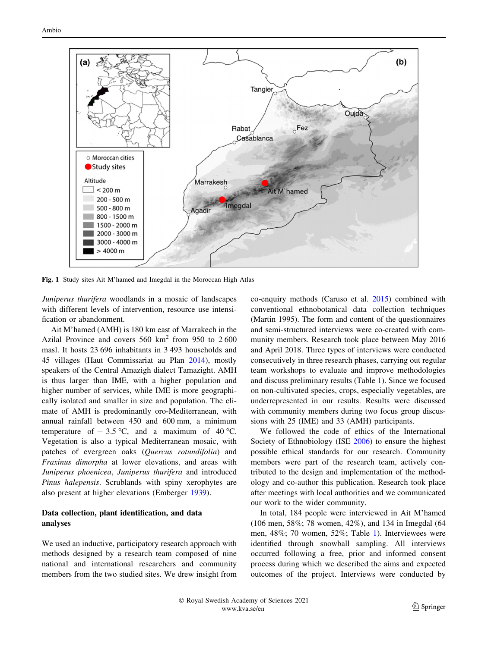<span id="page-2-0"></span>

Fig. 1 Study sites Ait M'hamed and Imegdal in the Moroccan High Atlas

Juniperus thurifera woodlands in a mosaic of landscapes with different levels of intervention, resource use intensification or abandonment.

Ait M'hamed (AMH) is 180 km east of Marrakech in the Azilal Province and covers  $560 \text{ km}^2$  from 950 to 2600 masl. It hosts 23 696 inhabitants in 3 493 households and 45 villages (Haut Commissariat au Plan [2014\)](#page-9-0), mostly speakers of the Central Amazigh dialect Tamazight. AMH is thus larger than IME, with a higher population and higher number of services, while IME is more geographically isolated and smaller in size and population. The climate of AMH is predominantly oro-Mediterranean, with annual rainfall between 450 and 600 mm, a minimum temperature of  $-3.5$  °C, and a maximum of 40 °C. Vegetation is also a typical Mediterranean mosaic, with patches of evergreen oaks (Quercus rotundifolia) and Fraxinus dimorpha at lower elevations, and areas with Juniperus phoenicea, Juniperus thurifera and introduced Pinus halepensis. Scrublands with spiny xerophytes are also present at higher elevations (Emberger [1939](#page-9-0)).

## Data collection, plant identification, and data analyses

We used an inductive, participatory research approach with methods designed by a research team composed of nine national and international researchers and community members from the two studied sites. We drew insight from co-enquiry methods (Caruso et al. [2015\)](#page-9-0) combined with conventional ethnobotanical data collection techniques (Martin 1995). The form and content of the questionnaires and semi-structured interviews were co-created with community members. Research took place between May 2016 and April 2018. Three types of interviews were conducted consecutively in three research phases, carrying out regular team workshops to evaluate and improve methodologies and discuss preliminary results (Table [1\)](#page-3-0). Since we focused on non-cultivated species, crops, especially vegetables, are underrepresented in our results. Results were discussed with community members during two focus group discussions with 25 (IME) and 33 (AMH) participants.

We followed the code of ethics of the International Society of Ethnobiology (ISE [2006\)](#page-9-0) to ensure the highest possible ethical standards for our research. Community members were part of the research team, actively contributed to the design and implementation of the methodology and co-author this publication. Research took place after meetings with local authorities and we communicated our work to the wider community.

In total, 184 people were interviewed in Ait M'hamed (106 men, 58%; 78 women, 42%), and 134 in Imegdal (64 men, 48%; 70 women, 52%; Table [1](#page-3-0)). Interviewees were identified through snowball sampling. All interviews occurred following a free, prior and informed consent process during which we described the aims and expected outcomes of the project. Interviews were conducted by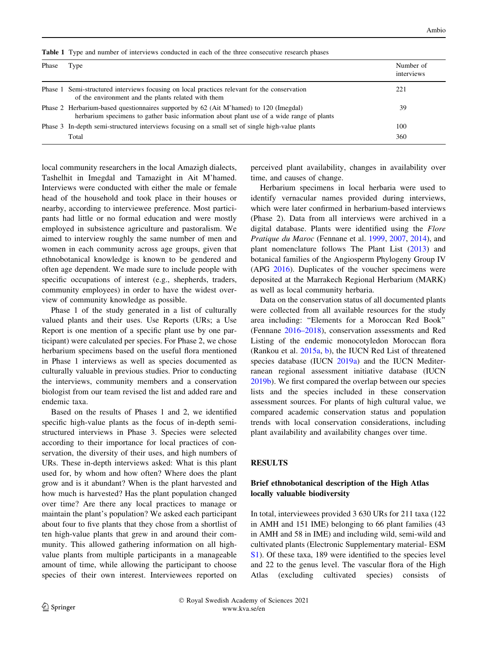<span id="page-3-0"></span>

|  |  |  |  |  |  |  |  | Table 1 Type and number of interviews conducted in each of the three consecutive research phases |
|--|--|--|--|--|--|--|--|--------------------------------------------------------------------------------------------------|
|--|--|--|--|--|--|--|--|--------------------------------------------------------------------------------------------------|

| Phase | Type                                                                                                                                                                               | Number of<br>interviews |
|-------|------------------------------------------------------------------------------------------------------------------------------------------------------------------------------------|-------------------------|
|       | Phase 1 Semi-structured interviews focusing on local practices relevant for the conservation<br>of the environment and the plants related with them                                | 221                     |
|       | Phase 2 Herbarium-based questionnaires supported by 62 (Ait M'hamed) to 120 (Imegdal)<br>herbarium specimens to gather basic information about plant use of a wide range of plants | 39                      |
|       | Phase 3 In-depth semi-structured interviews focusing on a small set of single high-value plants<br>Total                                                                           | 100<br>360              |

local community researchers in the local Amazigh dialects, Tashelhit in Imegdal and Tamazight in Ait M'hamed. Interviews were conducted with either the male or female head of the household and took place in their houses or nearby, according to interviewee preference. Most participants had little or no formal education and were mostly employed in subsistence agriculture and pastoralism. We aimed to interview roughly the same number of men and women in each community across age groups, given that ethnobotanical knowledge is known to be gendered and often age dependent. We made sure to include people with specific occupations of interest (e.g., shepherds, traders, community employees) in order to have the widest overview of community knowledge as possible.

Phase 1 of the study generated in a list of culturally valued plants and their uses. Use Reports (URs; a Use Report is one mention of a specific plant use by one participant) were calculated per species. For Phase 2, we chose herbarium specimens based on the useful flora mentioned in Phase 1 interviews as well as species documented as culturally valuable in previous studies. Prior to conducting the interviews, community members and a conservation biologist from our team revised the list and added rare and endemic taxa.

Based on the results of Phases 1 and 2, we identified specific high-value plants as the focus of in-depth semistructured interviews in Phase 3. Species were selected according to their importance for local practices of conservation, the diversity of their uses, and high numbers of URs. These in-depth interviews asked: What is this plant used for, by whom and how often? Where does the plant grow and is it abundant? When is the plant harvested and how much is harvested? Has the plant population changed over time? Are there any local practices to manage or maintain the plant's population? We asked each participant about four to five plants that they chose from a shortlist of ten high-value plants that grew in and around their community. This allowed gathering information on all highvalue plants from multiple participants in a manageable amount of time, while allowing the participant to choose species of their own interest. Interviewees reported on perceived plant availability, changes in availability over time, and causes of change.

Herbarium specimens in local herbaria were used to identify vernacular names provided during interviews, which were later confirmed in herbarium-based interviews (Phase 2). Data from all interviews were archived in a digital database. Plants were identified using the Flore Pratique du Maroc (Fennane et al. [1999](#page-9-0), [2007](#page-9-0), [2014\)](#page-9-0), and plant nomenclature follows The Plant List ([2013\)](#page-10-0) and botanical families of the Angiosperm Phylogeny Group IV (APG [2016\)](#page-8-0). Duplicates of the voucher specimens were deposited at the Marrakech Regional Herbarium (MARK) as well as local community herbaria.

Data on the conservation status of all documented plants were collected from all available resources for the study area including: ''Elements for a Moroccan Red Book'' (Fennane [2016–2018](#page-9-0)), conservation assessments and Red Listing of the endemic monocotyledon Moroccan flora (Rankou et al. [2015a](#page-10-0), [b\)](#page-10-0), the IUCN Red List of threatened species database (IUCN [2019a\)](#page-10-0) and the IUCN Mediterranean regional assessment initiative database (IUCN [2019b](#page-10-0)). We first compared the overlap between our species lists and the species included in these conservation assessment sources. For plants of high cultural value, we compared academic conservation status and population trends with local conservation considerations, including plant availability and availability changes over time.

#### **RESULTS**

## Brief ethnobotanical description of the High Atlas locally valuable biodiversity

In total, interviewees provided 3 630 URs for 211 taxa (122 in AMH and 151 IME) belonging to 66 plant families (43 in AMH and 58 in IME) and including wild, semi-wild and cultivated plants (Electronic Supplementary material- ESM [S1\)](http://dx.doi.org/10.1007/s13280-021-01584-0). Of these taxa, 189 were identified to the species level and 22 to the genus level. The vascular flora of the High Atlas (excluding cultivated species) consists of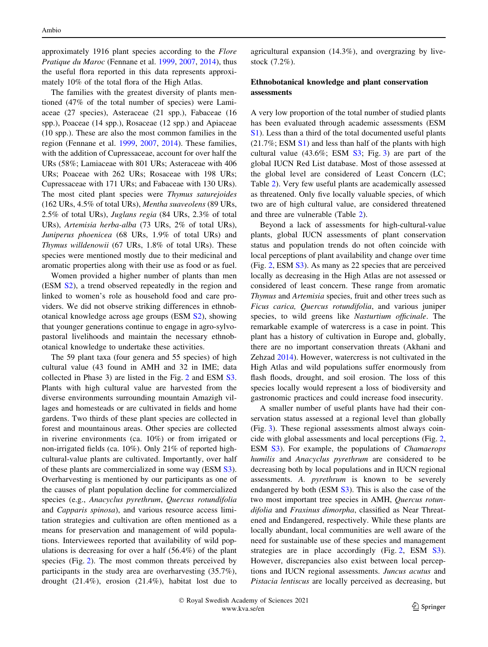approximately 1916 plant species according to the Flore Pratique du Maroc (Fennane et al. [1999](#page-9-0), [2007,](#page-9-0) [2014\)](#page-9-0), thus the useful flora reported in this data represents approximately 10% of the total flora of the High Atlas.

The families with the greatest diversity of plants mentioned (47% of the total number of species) were Lamiaceae (27 species), Asteraceae (21 spp.), Fabaceae (16 spp.), Poaceae (14 spp.), Rosaceae (12 spp.) and Apiaceae (10 spp.). These are also the most common families in the region (Fennane et al. [1999](#page-9-0), [2007](#page-9-0), [2014](#page-9-0)). These families, with the addition of Cupressaceae, account for over half the URs (58%; Lamiaceae with 801 URs; Asteraceae with 406 URs; Poaceae with 262 URs; Rosaceae with 198 URs; Cupressaceae with 171 URs; and Fabaceae with 130 URs). The most cited plant species were Thymus saturejoides (162 URs, 4.5% of total URs), Mentha suaveolens (89 URs, 2.5% of total URs), Juglans regia (84 URs, 2.3% of total URs), Artemisia herba-alba (73 URs, 2% of total URs), Juniperus phoenicea (68 URs, 1.9% of total URs) and Thymus willdenowii (67 URs, 1.8% of total URs). These species were mentioned mostly due to their medicinal and aromatic properties along with their use as food or as fuel.

Women provided a higher number of plants than men (ESM [S2](http://dx.doi.org/10.1007/s13280-021-01584-0)), a trend observed repeatedly in the region and linked to women's role as household food and care providers. We did not observe striking differences in ethnobotanical knowledge across age groups (ESM [S2](http://dx.doi.org/10.1007/s13280-021-01584-0)), showing that younger generations continue to engage in agro-sylvopastoral livelihoods and maintain the necessary ethnobotanical knowledge to undertake these activities.

The 59 plant taxa (four genera and 55 species) of high cultural value (43 found in AMH and 32 in IME; data collected in Phase 3) are listed in the Fig. [2](#page-5-0) and ESM [S3.](http://dx.doi.org/10.1007/s13280-021-01584-0) Plants with high cultural value are harvested from the diverse environments surrounding mountain Amazigh villages and homesteads or are cultivated in fields and home gardens. Two thirds of these plant species are collected in forest and mountainous areas. Other species are collected in riverine environments (ca. 10%) or from irrigated or non-irrigated fields (ca. 10%). Only 21% of reported highcultural-value plants are cultivated. Importantly, over half of these plants are commercialized in some way (ESM [S3](http://dx.doi.org/10.1007/s13280-021-01584-0)). Overharvesting is mentioned by our participants as one of the causes of plant population decline for commercialized species (e.g., Anacyclus pyrethrum, Quercus rotundifolia and Capparis spinosa), and various resource access limitation strategies and cultivation are often mentioned as a means for preservation and management of wild populations. Interviewees reported that availability of wild populations is decreasing for over a half (56.4%) of the plant species (Fig. [2\)](#page-5-0). The most common threats perceived by participants in the study area are overharvesting (35.7%), drought (21.4%), erosion (21.4%), habitat lost due to

agricultural expansion (14.3%), and overgrazing by livestock (7.2%).

## Ethnobotanical knowledge and plant conservation assessments

A very low proportion of the total number of studied plants has been evaluated through academic assessments (ESM [S1\)](http://dx.doi.org/10.1007/s13280-021-01584-0). Less than a third of the total documented useful plants  $(21.7\%; ESM S1)$  $(21.7\%; ESM S1)$  $(21.7\%; ESM S1)$  and less than half of the plants with high cultural value  $(43.6\%; ESM S3; Fig. 3)$  $(43.6\%; ESM S3; Fig. 3)$  $(43.6\%; ESM S3; Fig. 3)$  $(43.6\%; ESM S3; Fig. 3)$  $(43.6\%; ESM S3; Fig. 3)$  are part of the global IUCN Red List database. Most of those assessed at the global level are considered of Least Concern (LC; Table [2\)](#page-6-0). Very few useful plants are academically assessed as threatened. Only five locally valuable species, of which two are of high cultural value, are considered threatened and three are vulnerable (Table [2](#page-6-0)).

Beyond a lack of assessments for high-cultural-value plants, global IUCN assessments of plant conservation status and population trends do not often coincide with local perceptions of plant availability and change over time (Fig. [2,](#page-5-0) ESM [S3](http://dx.doi.org/10.1007/s13280-021-01584-0)). As many as 22 species that are perceived locally as decreasing in the High Atlas are not assessed or considered of least concern. These range from aromatic Thymus and Artemisia species, fruit and other trees such as Ficus carica, Quercus rotundifolia, and various juniper species, to wild greens like Nasturtium officinale. The remarkable example of watercress is a case in point. This plant has a history of cultivation in Europe and, globally, there are no important conservation threats (Akhani and Zehzad [2014](#page-8-0)). However, watercress is not cultivated in the High Atlas and wild populations suffer enormously from flash floods, drought, and soil erosion. The loss of this species locally would represent a loss of biodiversity and gastronomic practices and could increase food insecurity.

A smaller number of useful plants have had their conservation status assessed at a regional level than globally (Fig. [3\)](#page-5-0). These regional assessments almost always coincide with global assessments and local perceptions (Fig. [2,](#page-5-0) ESM [S3\)](http://dx.doi.org/10.1007/s13280-021-01584-0). For example, the populations of *Chamaerops* humilis and Anacyclus pyrethrum are considered to be decreasing both by local populations and in IUCN regional assessments. A. pyrethrum is known to be severely endangered by both (ESM [S3\)](http://dx.doi.org/10.1007/s13280-021-01584-0). This is also the case of the two most important tree species in AMH, Quercus rotundifolia and Fraxinus dimorpha, classified as Near Threatened and Endangered, respectively. While these plants are locally abundant, local communities are well aware of the need for sustainable use of these species and management strategies are in place accordingly (Fig. [2,](#page-5-0) ESM [S3](http://dx.doi.org/10.1007/s13280-021-01584-0)). However, discrepancies also exist between local perceptions and IUCN regional assessments. Juncus acutus and Pistacia lentiscus are locally perceived as decreasing, but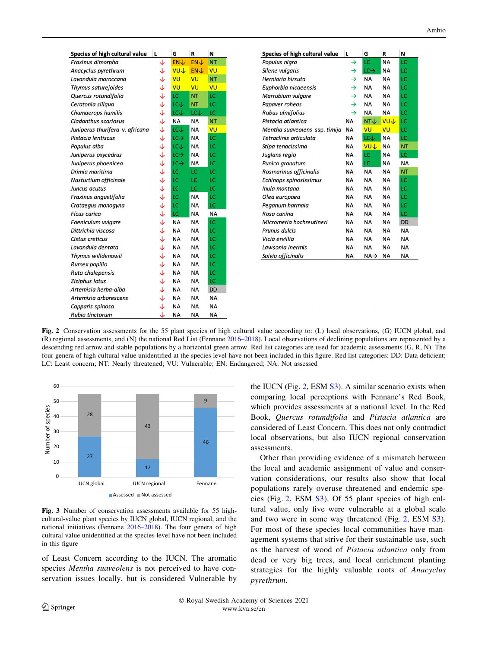<span id="page-5-0"></span>

| Species of high cultural value  | L | G                | R          | N         |
|---------------------------------|---|------------------|------------|-----------|
| Fraxinus dimorpha               | ↓ | <b>EN</b>        | <b>EN</b>  | <b>NT</b> |
| Anacyclus pyrethrum             | ↓ | <b>VUJ</b>       | <b>ENJ</b> | VU        |
| Lavandula maroccana             | ↓ | VU               | VU         | <b>NT</b> |
| Thymus saturejoides             | ↓ | VU               | VU         | VU        |
| Quercus rotundifolia            | ↓ | LC               | <b>NT</b>  | LC        |
| Ceratonia siliqua               | ↓ | $LC +$           | <b>NT</b>  | LC        |
| Chamaerops humilis              | ↓ | LCV              | LCJ        | LC        |
| Cladanthus scariosus            | ↓ | <b>NA</b>        | <b>NA</b>  | <b>NT</b> |
| Juniperus thurifera v. africana | ↓ | LCJ <sub>-</sub> | <b>NA</b>  | VU        |
| Pistacia lentiscus              | ↓ | $LC \rightarrow$ | <b>NA</b>  | LC        |
| Populus alba                    | ↓ | LCV              | <b>NA</b>  | LC        |
| Juniperus oxycedrus             | ↓ | $LC \rightarrow$ | <b>NA</b>  | LC        |
| Juniperus phoenicea             | ↓ | $LC \rightarrow$ | <b>NA</b>  | LC        |
| Drimia maritima                 | ↓ | LC               | LC         | LC        |
| Nasturtium officinale           | ↓ | LC               | LC         | LC        |
| Juncus acutus                   | ↓ | LC               | LC         | LC        |
| Fraxinus angustifolia           | ↓ | LC               | <b>NA</b>  | LC        |
| Crataegus monogyna              | ↓ | LC               | <b>NA</b>  | LC        |
| <b>Ficus carica</b>             | ↓ | LC               | <b>NA</b>  | <b>NA</b> |
| Foeniculum vulgare              | ↓ | <b>NA</b>        | <b>NA</b>  | LC        |
| Dittrichia viscosa              | ↓ | <b>NA</b>        | <b>NA</b>  | LC        |
| Cistus creticus                 | ↓ | <b>NA</b>        | <b>NA</b>  | LC        |
| Lavandula dentata               | ↓ | <b>NA</b>        | <b>NA</b>  | LC        |
| Thymus willdenowii              | ↓ | <b>NA</b>        | <b>NA</b>  | LC        |
| Rumex papilio                   | ↓ | <b>NA</b>        | <b>NA</b>  | LC        |
| Ruta chalepensis                | ↓ | <b>NA</b>        | <b>NA</b>  | LC        |
| Ziziphus lotus                  | ↓ | <b>NA</b>        | <b>NA</b>  | LC        |
| Artemisia herba-alba            | ↓ | <b>NA</b>        | <b>NA</b>  | <b>DD</b> |
| Artemisia arborescens           | ↓ | <b>NA</b>        | <b>NA</b>  | <b>NA</b> |
| Capparis spinosa                | ↓ | <b>NA</b>        | <b>NA</b>  | <b>NA</b> |
| Rubia tinctorum                 | ↓ | <b>NA</b>        | <b>NA</b>  | <b>NA</b> |

| Species of high cultural value | L             | G                | R          | N         |
|--------------------------------|---------------|------------------|------------|-----------|
| Populus nigra                  | →             | LC               | <b>NA</b>  | LC        |
| Silene vulgaris                | $\rightarrow$ | $LC \rightarrow$ | <b>NA</b>  | LC        |
| Herniaria hirsuta              | →             | <b>NA</b>        | <b>NA</b>  | LC        |
| Euphorbia nicaeensis           | →             | <b>NA</b>        | NA         | LC        |
| Marrubium vulgare              | $\rightarrow$ | <b>NA</b>        | <b>NA</b>  | LC        |
| Papaver roheas                 | $\rightarrow$ | <b>NA</b>        | <b>NA</b>  | LC        |
| Rubus ulmifolius               | $\rightarrow$ | <b>NA</b>        | ΝA         | LC        |
| Pistacia atlantica             | <b>NA</b>     | NTJ              | <b>VUJ</b> | LC        |
| Mentha suaveolens ssp. timija  | <b>NA</b>     | VU               | VU         | LC        |
| Tetraclinis articulata         | <b>NA</b>     | LC↓              | <b>NA</b>  | LC        |
| Stipa tenacissima              | <b>NA</b>     | <b>VUJ</b>       | <b>NA</b>  | <b>NT</b> |
| Juglans regia                  | <b>NA</b>     | LC               | <b>NA</b>  | LC        |
| Punica granatum                | <b>NA</b>     | LC               | <b>NA</b>  | <b>NA</b> |
| Rosmarinus officinalis         | <b>NA</b>     | <b>NA</b>        | <b>NA</b>  | <b>NT</b> |
| Echinops spinosissimus         | <b>NA</b>     | <b>NA</b>        | <b>NA</b>  | LC        |
| Inula montana                  | <b>NA</b>     | <b>NA</b>        | <b>NA</b>  | LC        |
| Olea europaea                  | <b>NA</b>     | <b>NA</b>        | <b>NA</b>  | LC        |
| Peganum harmala                | NA            | NA               | NA         | LC        |
| Rosa canina                    | <b>NA</b>     | <b>NA</b>        | <b>NA</b>  | LC        |
| Micromeria hochreutineri       | <b>NA</b>     | <b>NA</b>        | <b>NA</b>  | <b>DD</b> |
| Prunus dulcis                  | <b>NA</b>     | <b>NA</b>        | <b>NA</b>  | <b>NA</b> |
| Vicia ervillia                 | <b>NA</b>     | <b>NA</b>        | NA         | <b>NA</b> |
| Lawsonia inermis               | <b>NA</b>     | <b>NA</b>        | <b>NA</b>  | <b>NA</b> |
| Salvia officinalis             | <b>NA</b>     | $NA \rightarrow$ | <b>NA</b>  | <b>NA</b> |

Fig. 2 Conservation assessments for the 55 plant species of high cultural value according to: (L) local observations, (G) IUCN global, and (R) regional assessments, and (N) the national Red List (Fennane [2016–2018](#page-9-0)). Local observations of declining populations are represented by a descending red arrow and stable populations by a horizontal green arrow. Red list categories are used for academic assessments (G, R, N). The four genera of high cultural value unidentified at the species level have not been included in this figure. Red list categories: DD: Data deficient; LC: Least concern; NT: Nearly threatened; VU: Vulnerable; EN: Endangered; NA: Not assessed



Fig. 3 Number of conservation assessments available for 55 highcultural-value plant species by IUCN global, IUCN regional, and the national initiatives (Fennane [2016–2018](#page-9-0)). The four genera of high cultural value unidentified at the species level have not been included in this figure

of Least Concern according to the IUCN. The aromatic species Mentha suaveolens is not perceived to have conservation issues locally, but is considered Vulnerable by

the IUCN (Fig. 2, ESM [S3\)](http://dx.doi.org/10.1007/s13280-021-01584-0). A similar scenario exists when comparing local perceptions with Fennane's Red Book, which provides assessments at a national level. In the Red Book, Quercus rotundifolia and Pistacia atlantica are considered of Least Concern. This does not only contradict local observations, but also IUCN regional conservation assessments.

Other than providing evidence of a mismatch between the local and academic assignment of value and conservation considerations, our results also show that local populations rarely overuse threatened and endemic species (Fig. 2, ESM [S3\)](http://dx.doi.org/10.1007/s13280-021-01584-0). Of 55 plant species of high cultural value, only five were vulnerable at a global scale and two were in some way threatened (Fig. 2, ESM [S3](http://dx.doi.org/10.1007/s13280-021-01584-0)). For most of these species local communities have management systems that strive for their sustainable use, such as the harvest of wood of Pistacia atlantica only from dead or very big trees, and local enrichment planting strategies for the highly valuable roots of Anacyclus pyrethrum.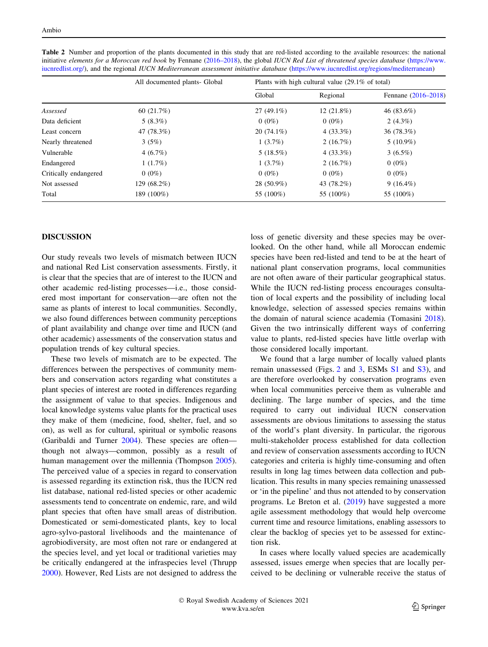|                       | All documented plants- Global | Plants with high cultural value $(29.1\% \text{ of total})$ |              |                     |  |
|-----------------------|-------------------------------|-------------------------------------------------------------|--------------|---------------------|--|
|                       |                               | Global                                                      | Regional     | Fennane (2016–2018) |  |
| Assessed              | 60(21.7%)                     | $27(49.1\%)$                                                | $12(21.8\%)$ | 46 $(83.6\%)$       |  |
| Data deficient        | $5(8.3\%)$                    | $0(0\%)$                                                    | $0(0\%)$     | $2(4.3\%)$          |  |
| Least concern         | 47 (78.3%)                    | $20(74.1\%)$                                                | $4(33.3\%)$  | 36 (78.3%)          |  |
| Nearly threatened     | 3(5%)                         | $1(3.7\%)$                                                  | 2(16.7%)     | $5(10.9\%)$         |  |
| Vulnerable            | 4(6.7%)                       | 5(18.5%)                                                    | $4(33.3\%)$  | $3(6.5\%)$          |  |
| Endangered            | 1(1.7%)                       | $1(3.7\%)$                                                  | 2(16.7%)     | $0(0\%)$            |  |
| Critically endangered | $0(0\%)$                      | $0(0\%)$                                                    | $0(0\%)$     | $0(0\%)$            |  |
| Not assessed          | 129 (68.2%)                   | 28 (50.9%)                                                  | 43 (78.2%)   | $9(16.4\%)$         |  |
| Total                 | 189 (100%)                    | 55 (100%)                                                   | 55 (100%)    | 55 (100%)           |  |

<span id="page-6-0"></span>Table 2 Number and proportion of the plants documented in this study that are red-listed according to the available resources: the national initiative elements for a Moroccan red book by Fennane ([2016–2018\)](#page-9-0), the global IUCN Red List of threatened species database [\(https://www.](https://www.iucnredlist.org/) [iucnredlist.org/\)](https://www.iucnredlist.org/), and the regional IUCN Mediterranean assessment initiative database [\(https://www.iucnredlist.org/regions/mediterranean\)](https://www.iucnredlist.org/regions/mediterranean)

#### DISCUSSION

Our study reveals two levels of mismatch between IUCN and national Red List conservation assessments. Firstly, it is clear that the species that are of interest to the IUCN and other academic red-listing processes—i.e., those considered most important for conservation—are often not the same as plants of interest to local communities. Secondly, we also found differences between community perceptions of plant availability and change over time and IUCN (and other academic) assessments of the conservation status and population trends of key cultural species.

These two levels of mismatch are to be expected. The differences between the perspectives of community members and conservation actors regarding what constitutes a plant species of interest are rooted in differences regarding the assignment of value to that species. Indigenous and local knowledge systems value plants for the practical uses they make of them (medicine, food, shelter, fuel, and so on), as well as for cultural, spiritual or symbolic reasons (Garibaldi and Turner [2004](#page-9-0)). These species are often though not always—common, possibly as a result of human management over the millennia (Thompson [2005](#page-10-0)). The perceived value of a species in regard to conservation is assessed regarding its extinction risk, thus the IUCN red list database, national red-listed species or other academic assessments tend to concentrate on endemic, rare, and wild plant species that often have small areas of distribution. Domesticated or semi-domesticated plants, key to local agro-sylvo-pastoral livelihoods and the maintenance of agrobiodiversity, are most often not rare or endangered at the species level, and yet local or traditional varieties may be critically endangered at the infraspecies level (Thrupp [2000\)](#page-10-0). However, Red Lists are not designed to address the loss of genetic diversity and these species may be overlooked. On the other hand, while all Moroccan endemic species have been red-listed and tend to be at the heart of national plant conservation programs, local communities are not often aware of their particular geographical status. While the IUCN red-listing process encourages consultation of local experts and the possibility of including local knowledge, selection of assessed species remains within the domain of natural science academia (Tomasini [2018](#page-10-0)). Given the two intrinsically different ways of conferring value to plants, red-listed species have little overlap with those considered locally important.

We found that a large number of locally valued plants remain unassessed (Figs. [2](#page-5-0) and [3,](#page-5-0) ESMs [S1](http://dx.doi.org/10.1007/s13280-021-01584-0) and [S3](http://dx.doi.org/10.1007/s13280-021-01584-0)), and are therefore overlooked by conservation programs even when local communities perceive them as vulnerable and declining. The large number of species, and the time required to carry out individual IUCN conservation assessments are obvious limitations to assessing the status of the world's plant diversity. In particular, the rigorous multi-stakeholder process established for data collection and review of conservation assessments according to IUCN categories and criteria is highly time-consuming and often results in long lag times between data collection and publication. This results in many species remaining unassessed or 'in the pipeline' and thus not attended to by conservation programs. Le Breton et al. ([2019\)](#page-10-0) have suggested a more agile assessment methodology that would help overcome current time and resource limitations, enabling assessors to clear the backlog of species yet to be assessed for extinction risk.

In cases where locally valued species are academically assessed, issues emerge when species that are locally perceived to be declining or vulnerable receive the status of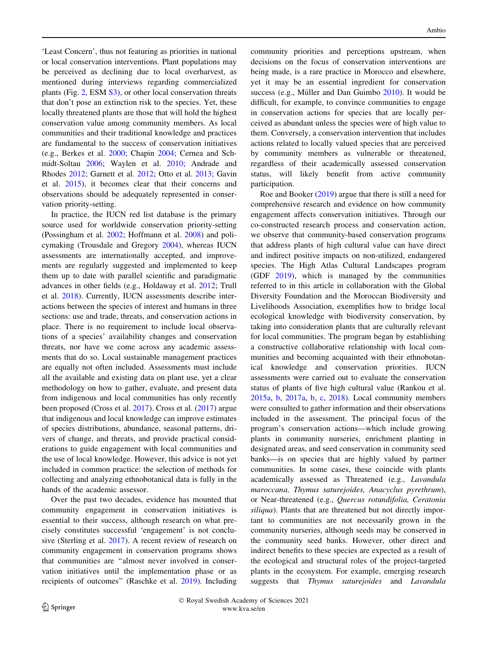'Least Concern', thus not featuring as priorities in national or local conservation interventions. Plant populations may be perceived as declining due to local overharvest, as mentioned during interviews regarding commercialized plants (Fig. [2](#page-5-0), ESM [S3](http://dx.doi.org/10.1007/s13280-021-01584-0)), or other local conservation threats that don't pose an extinction risk to the species. Yet, these locally threatened plants are those that will hold the highest conservation value among community members. As local communities and their traditional knowledge and practices are fundamental to the success of conservation initiatives (e.g., Berkes et al. [2000;](#page-9-0) Chapin [2004;](#page-9-0) Cernea and Schmidt-Soltau [2006](#page-9-0); Waylen et al. [2010;](#page-10-0) Andrade and Rhodes [2012](#page-8-0); Garnett et al. [2012;](#page-9-0) Otto et al. [2013;](#page-10-0) Gavin et al. [2015](#page-9-0)), it becomes clear that their concerns and observations should be adequately represented in conservation priority-setting.

In practice, the IUCN red list database is the primary source used for worldwide conservation priority-setting (Possingham et al. [2002](#page-10-0); Hoffmann et al. [2008](#page-9-0)) and policymaking (Trousdale and Gregory [2004\)](#page-10-0), whereas IUCN assessments are internationally accepted, and improvements are regularly suggested and implemented to keep them up to date with parallel scientific and paradigmatic advances in other fields (e.g., Holdaway et al. [2012;](#page-9-0) Trull et al. [2018\)](#page-10-0). Currently, IUCN assessments describe interactions between the species of interest and humans in three sections: use and trade, threats, and conservation actions in place. There is no requirement to include local observations of a species' availability changes and conservation threats, nor have we come across any academic assessments that do so. Local sustainable management practices are equally not often included. Assessments must include all the available and existing data on plant use, yet a clear methodology on how to gather, evaluate, and present data from indigenous and local communities has only recently been proposed (Cross et al. [2017](#page-9-0)). Cross et al. [\(2017](#page-9-0)) argue that indigenous and local knowledge can improve estimates of species distributions, abundance, seasonal patterns, drivers of change, and threats, and provide practical considerations to guide engagement with local communities and the use of local knowledge. However, this advice is not yet included in common practice: the selection of methods for collecting and analyzing ethnobotanical data is fully in the hands of the academic assessor.

Over the past two decades, evidence has mounted that community engagement in conservation initiatives is essential to their success, although research on what precisely constitutes successful 'engagement' is not conclusive (Sterling et al. [2017\)](#page-10-0). A recent review of research on community engagement in conservation programs shows that communities are ''almost never involved in conservation initiatives until the implementation phase or as recipients of outcomes'' (Raschke et al. [2019\)](#page-10-0). Including community priorities and perceptions upstream, when decisions on the focus of conservation interventions are being made, is a rare practice in Morocco and elsewhere, yet it may be an essential ingredient for conservation success (e.g., Müller and Dan Guimbo  $2010$ ). It would be difficult, for example, to convince communities to engage in conservation actions for species that are locally perceived as abundant unless the species were of high value to them. Conversely, a conservation intervention that includes actions related to locally valued species that are perceived by community members as vulnerable or threatened, regardless of their academically assessed conservation status, will likely benefit from active community participation.

Roe and Booker ([2019\)](#page-10-0) argue that there is still a need for comprehensive research and evidence on how community engagement affects conservation initiatives. Through our co-constructed research process and conservation action, we observe that community-based conservation programs that address plants of high cultural value can have direct and indirect positive impacts on non-utilized, endangered species. The High Atlas Cultural Landscapes program (GDF [2019](#page-9-0)), which is managed by the communities referred to in this article in collaboration with the Global Diversity Foundation and the Moroccan Biodiversity and Livelihoods Association, exemplifies how to bridge local ecological knowledge with biodiversity conservation, by taking into consideration plants that are culturally relevant for local communities. The program began by establishing a constructive collaborative relationship with local communities and becoming acquainted with their ethnobotanical knowledge and conservation priorities. IUCN assessments were carried out to evaluate the conservation status of plants of five high cultural value (Rankou et al. [2015a,](#page-10-0) [b,](#page-10-0) [2017a,](#page-10-0) [b](#page-10-0), [c](#page-10-0), [2018](#page-10-0)). Local community members were consulted to gather information and their observations included in the assessment. The principal focus of the program's conservation actions—which include growing plants in community nurseries, enrichment planting in designated areas, and seed conservation in community seed banks—is on species that are highly valued by partner communities. In some cases, these coincide with plants academically assessed as Threatened (e.g., Lavandula maroccana, Thymus saturejoides, Anacyclus pyrethrum), or Near-threatened (e.g., Quercus rotundifolia, Ceratonia siliqua). Plants that are threatened but not directly important to communities are not necessarily grown in the community nurseries, although seeds may be conserved in the community seed banks. However, other direct and indirect benefits to these species are expected as a result of the ecological and structural roles of the project-targeted plants in the ecosystem. For example, emerging research suggests that Thymus saturejoides and Lavandula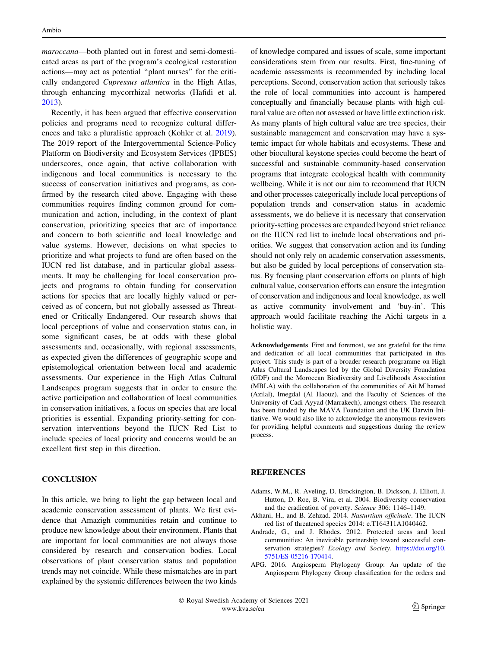<span id="page-8-0"></span>maroccana—both planted out in forest and semi-domesticated areas as part of the program's ecological restoration actions—may act as potential ''plant nurses'' for the critically endangered Cupressus atlantica in the High Atlas, through enhancing mycorrhizal networks (Hafidi et al. [2013\)](#page-9-0).

Recently, it has been argued that effective conservation policies and programs need to recognize cultural differences and take a pluralistic approach (Kohler et al. [2019](#page-10-0)). The 2019 report of the Intergovernmental Science-Policy Platform on Biodiversity and Ecosystem Services (IPBES) underscores, once again, that active collaboration with indigenous and local communities is necessary to the success of conservation initiatives and programs, as confirmed by the research cited above. Engaging with these communities requires finding common ground for communication and action, including, in the context of plant conservation, prioritizing species that are of importance and concern to both scientific and local knowledge and value systems. However, decisions on what species to prioritize and what projects to fund are often based on the IUCN red list database, and in particular global assessments. It may be challenging for local conservation projects and programs to obtain funding for conservation actions for species that are locally highly valued or perceived as of concern, but not globally assessed as Threatened or Critically Endangered. Our research shows that local perceptions of value and conservation status can, in some significant cases, be at odds with these global assessments and, occasionally, with regional assessments, as expected given the differences of geographic scope and epistemological orientation between local and academic assessments. Our experience in the High Atlas Cultural Landscapes program suggests that in order to ensure the active participation and collaboration of local communities in conservation initiatives, a focus on species that are local priorities is essential. Expanding priority-setting for conservation interventions beyond the IUCN Red List to include species of local priority and concerns would be an excellent first step in this direction.

#### **CONCLUSION**

In this article, we bring to light the gap between local and academic conservation assessment of plants. We first evidence that Amazigh communities retain and continue to produce new knowledge about their environment. Plants that are important for local communities are not always those considered by research and conservation bodies. Local observations of plant conservation status and population trends may not coincide. While these mismatches are in part explained by the systemic differences between the two kinds

of knowledge compared and issues of scale, some important considerations stem from our results. First, fine-tuning of academic assessments is recommended by including local perceptions. Second, conservation action that seriously takes the role of local communities into account is hampered conceptually and financially because plants with high cultural value are often not assessed or have little extinction risk. As many plants of high cultural value are tree species, their sustainable management and conservation may have a systemic impact for whole habitats and ecosystems. These and other biocultural keystone species could become the heart of successful and sustainable community-based conservation programs that integrate ecological health with community wellbeing. While it is not our aim to recommend that IUCN and other processes categorically include local perceptions of population trends and conservation status in academic assessments, we do believe it is necessary that conservation priority-setting processes are expanded beyond strict reliance on the IUCN red list to include local observations and priorities. We suggest that conservation action and its funding should not only rely on academic conservation assessments, but also be guided by local perceptions of conservation status. By focusing plant conservation efforts on plants of high cultural value, conservation efforts can ensure the integration of conservation and indigenous and local knowledge, as well as active community involvement and 'buy-in'. This approach would facilitate reaching the Aichi targets in a holistic way.

Acknowledgements First and foremost, we are grateful for the time and dedication of all local communities that participated in this project. This study is part of a broader research programme on High Atlas Cultural Landscapes led by the Global Diversity Foundation (GDF) and the Moroccan Biodiversity and Livelihoods Association (MBLA) with the collaboration of the communities of Ait M'hamed (Azilal), Imegdal (Al Haouz), and the Faculty of Sciences of the University of Cadi Ayyad (Marrakech), amongst others. The research has been funded by the MAVA Foundation and the UK Darwin Initiative. We would also like to acknowledge the anonymous reviewers for providing helpful comments and suggestions during the review process.

#### **REFERENCES**

- Adams, W.M., R. Aveling, D. Brockington, B. Dickson, J. Elliott, J. Hutton, D. Roe, B. Vira, et al. 2004. Biodiversity conservation and the eradication of poverty. Science 306: 1146–1149.
- Akhani, H., and B. Zehzad. 2014. Nasturtium officinale. The IUCN red list of threatened species 2014: e.T164311A1040462.
- Andrade, G., and J. Rhodes. 2012. Protected areas and local communities: An inevitable partnership toward successful conservation strategies? Ecology and Society. [https://doi.org/10.](https://doi.org/10.5751/ES-05216-170414) [5751/ES-05216-170414.](https://doi.org/10.5751/ES-05216-170414)
- APG. 2016. Angiosperm Phylogeny Group: An update of the Angiosperm Phylogeny Group classification for the orders and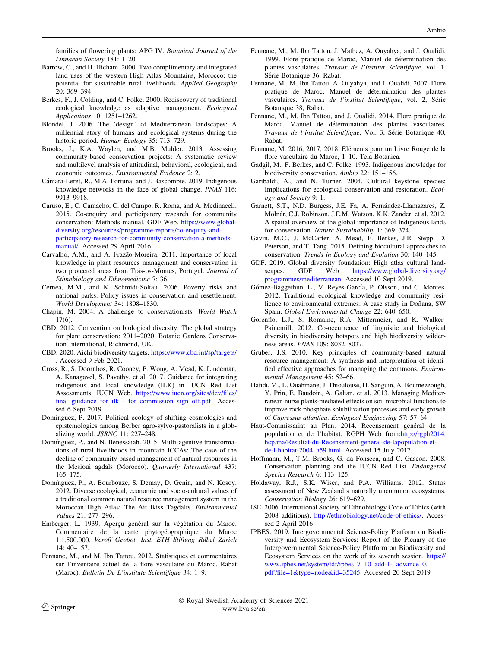<span id="page-9-0"></span>families of flowering plants: APG IV. Botanical Journal of the Linnaean Society 181: 1–20.

- Barrow, C., and H. Hicham. 2000. Two complimentary and integrated land uses of the western High Atlas Mountains, Morocco: the potential for sustainable rural livelihoods. Applied Geography 20: 369–394.
- Berkes, F., J. Colding, and C. Folke. 2000. Rediscovery of traditional ecological knowledge as adaptive management. Ecological Applications 10: 1251–1262.
- Blondel, J. 2006. The 'design' of Mediterranean landscapes: A millennial story of humans and ecological systems during the historic period. Human Ecology 35: 713–729.
- Brooks, J., K.A. Waylen, and M.B. Mulder. 2013. Assessing community-based conservation projects: A systematic review and multilevel analysis of attitudinal, behavioral, ecological, and economic outcomes. Environmental Evidence 2: 2.
- Cámara-Leret, R., M.A. Fortuna, and J. Bascompte. 2019. Indigenous knowledge networks in the face of global change. PNAS 116: 9913–9918.
- Caruso, E., C. Camacho, C. del Campo, R. Roma, and A. Medinaceli. 2015. Co-enquiry and participatory research for community conservation: Methods manual. GDF Web. [https://www.global](https://www.global-diversity.org/resources/programme-reports/co-enquiry-and-participatory-research-for-community-conservation-a-methods-manual/)[diversity.org/resources/programme-reports/co-enquiry-and](https://www.global-diversity.org/resources/programme-reports/co-enquiry-and-participatory-research-for-community-conservation-a-methods-manual/)[participatory-research-for-community-conservation-a-methods](https://www.global-diversity.org/resources/programme-reports/co-enquiry-and-participatory-research-for-community-conservation-a-methods-manual/)[manual/](https://www.global-diversity.org/resources/programme-reports/co-enquiry-and-participatory-research-for-community-conservation-a-methods-manual/). Accessed 29 April 2016.
- Carvalho, A.M., and A. Frazão-Moreira. 2011. Importance of local knowledge in plant resources management and conservation in two protected areas from Trás-os-Montes, Portugal. Journal of Ethnobiology and Ethnomedicine 7: 36.
- Cernea, M.M., and K. Schmidt-Soltau. 2006. Poverty risks and national parks: Policy issues in conservation and resettlement. World Development 34: 1808–1830.
- Chapin, M. 2004. A challenge to conservationists. World Watch 17(6).
- CBD. 2012. Convention on biological diversity: The global strategy for plant conservation: 2011–2020. Botanic Gardens Conservation International, Richmond, UK.
- CBD. 2020. Aichi biodiversity targets. <https://www.cbd.int/sp/targets/> . Accessed 9 Feb 2021.
- Cross, R., S. Doornbos, R. Cooney, P. Wong, A. Mead, K. Lindeman, A. Kanagavel, S. Pavathy, et al. 2017. Guidance for integrating indigenous and local knowledge (ILK) in IUCN Red List Assessments. IUCN Web. [https://www.iucn.org/sites/dev/files/](https://www.iucn.org/sites/dev/files/final_guidance_for_ilk_-_for_commission_sign_off.pdf) [final\\_guidance\\_for\\_ilk\\_-\\_for\\_commission\\_sign\\_off.pdf.](https://www.iucn.org/sites/dev/files/final_guidance_for_ilk_-_for_commission_sign_off.pdf) Accessed 6 Sept 2019.
- Domínguez, P. 2017. Political ecology of shifting cosmologies and epistemologies among Berber agro-sylvo-pastoralists in a globalizing world. JSRNC 11: 227–248.
- Domínguez, P., and N. Benessaiah. 2015. Multi-agentive transformations of rural livelihoods in mountain ICCAs: The case of the decline of community-based management of natural resources in the Mesioui agdals (Morocco). Quarterly International 437: 165–175.
- Domínguez, P., A. Bourbouze, S. Demay, D. Genin, and N. Kosoy. 2012. Diverse ecological, economic and socio-cultural values of a traditional common natural resource management system in the Moroccan High Atlas: The Ait Ikiss Tagdalts. Environmental Values 21: 277–296.
- Emberger, L. 1939. Aperçu général sur la végétation du Maroc. Commentaire de la carte phytogéographique du Maroc 1:1.500.000. Veröff Geobot. Inst. ETH Stiftung Rübel Zürich 14: 40–157.
- Fennane, M., and M. Ibn Tattou. 2012. Statistiques et commentaires sur l'inventaire actuel de la flore vasculaire du Maroc. Rabat (Maroc). Bulletin De L'institute Scientifique 34: 1–9.
- Fennane, M., M. Ibn Tattou, J. Mathez, A. Ouyahya, and J. Oualidi. 1999. Flore pratique de Maroc, Manuel de détermination des plantes vasculaires. Travaux de l'institut Scientifique, vol. 1, Série Botanique 36, Rabat.
- Fennane, M., M. Ibn Tattou, A. Ouyahya, and J. Oualidi. 2007. Flore pratique de Maroc, Manuel de détermination des plantes vasculaires. Travaux de l'institut Scientifique, vol. 2, Série Botanique 38, Rabat.
- Fennane, M., M. Ibn Tattou, and J. Oualidi. 2014. Flore pratique de Maroc, Manuel de détermination des plantes vasculaires. Travaux de l'institut Scientifique, Vol. 3, Série Botanique 40, Rabat.
- Fennane, M. 2016, 2017, 2018. Eléments pour un Livre Rouge de la flore vasculaire du Maroc, 1–10. Tela-Botanica.
- Gadgil, M., F. Berkes, and C. Folke. 1993. Indigenous knowledge for biodiversity conservation. Ambio 22: 151–156.
- Garibaldi, A., and N. Turner. 2004. Cultural keystone species: Implications for ecological conservation and restoration. Ecology and Society 9: 1.
- Garnett, S.T., N.D. Burgess, J.E. Fa, A. Fernández-Llamazares, Z. Molna´r, C.J. Robinson, J.E.M. Watson, K.K. Zander, et al. 2012. A spatial overview of the global importance of Indigenous lands for conservation. Nature Sustainability 1: 369–374.
- Gavin, M.C., J. McCarter, A. Mead, F. Berkes, J.R. Stepp, D. Peterson, and T. Tang. 2015. Defining biocultural approaches to conservation. Trends in Ecology and Evolution 30: 140–145.
- GDF. 2019. Global diversity foundation: High atlas cultural landscapes. GDF Web [https://www.global-diversity.org/](https://www.global-diversity.org/programmes/mediterranean) [programmes/mediterranean.](https://www.global-diversity.org/programmes/mediterranean) Accessed 10 Sept 2019.
- Gómez-Baggethun, E., V. Reyes-García, P. Olsson, and C. Montes. 2012. Traditional ecological knowledge and community resilience to environmental extremes: A case study in Doñana, SW Spain. Global Environmental Change 22: 640–650.
- Gorenflo, L.J., S. Romaine, R.A. Mittermeier, and K. Walker-Painemill. 2012. Co-occurrence of linguistic and biological diversity in biodiversity hotspots and high biodiversity wilderness areas. PNAS 109: 8032–8037.
- Gruber, J.S. 2010. Key principles of community-based natural resource management: A synthesis and interpretation of identified effective approaches for managing the commons. Environmental Management 45: 52–66.
- Hafidi, M., L. Ouahmane, J. Thioulouse, H. Sanguin, A. Boumezzough, Y. Prin, E. Baudoin, A. Galian, et al. 2013. Managing Mediterranean nurse plants-mediated effects on soil microbial functions to improve rock phosphate solubilization processes and early growth of Cupressus atlantica. Ecological Engineering 57: 57–64.
- Haut-Commissariat au Plan. 2014. Recensement général de la population et de l'habitat. RGPH Web from[:http://rgph2014.](http://rgph2014.hcp.ma/Resultat-du-Recensement-general-de-lapopulation-et-de-l-habitat-2004_a59.html) [hcp.ma/Resultat-du-Recensement-general-de-lapopulation-et](http://rgph2014.hcp.ma/Resultat-du-Recensement-general-de-lapopulation-et-de-l-habitat-2004_a59.html)[de-l-habitat-2004\\_a59.html](http://rgph2014.hcp.ma/Resultat-du-Recensement-general-de-lapopulation-et-de-l-habitat-2004_a59.html). Accessed 15 July 2017.
- Hoffmann, M., T.M. Brooks, G. da Fonseca, and C. Gascon. 2008. Conservation planning and the IUCN Red List. Endangered Species Research 6: 113–125.
- Holdaway, R.J., S.K. Wiser, and P.A. Williams. 2012. Status assessment of New Zealand's naturally uncommon ecosystems. Conservation Biology 26: 619–629.
- ISE. 2006. International Society of Ethnobiology Code of Ethics (with 2008 additions). [http://ethnobiology.net/code-of-ethics/.](http://ethnobiology.net/code-of-ethics/) Accessed 2 April 2016
- IPBES. 2019. Intergovernmental Science-Policy Platform on Biodiversity and Ecosystem Services: Report of the Plenary of the Intergovernmental Science-Policy Platform on Biodiversity and Ecosystem Services on the work of its seventh session. [https://](https://www.ipbes.net/system/tdf/ipbes_7_10_add-1-_advance_0.pdf?file=1&type=node&id=35245) [www.ipbes.net/system/tdf/ipbes\\_7\\_10\\_add-1-\\_advance\\_0.](https://www.ipbes.net/system/tdf/ipbes_7_10_add-1-_advance_0.pdf?file=1&type=node&id=35245) [pdf?file=1&type=node&id=35245.](https://www.ipbes.net/system/tdf/ipbes_7_10_add-1-_advance_0.pdf?file=1&type=node&id=35245) Accessed 20 Sept 2019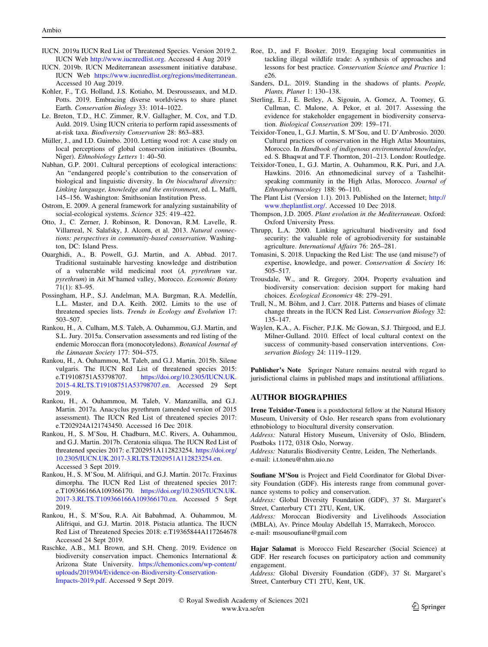- <span id="page-10-0"></span>IUCN. 2019a IUCN Red List of Threatened Species. Version 2019.2. IUCN Web <http://www.iucnredlist.org>. Accessed 4 Aug 2019
- IUCN. 2019b. IUCN Mediterranean assessment initiative database. IUCN Web <https://www.iucnredlist.org/regions/mediterranean>. Accessed 10 Aug 2019.
- Kohler, F., T.G. Holland, J.S. Kotiaho, M. Desrousseaux, and M.D. Potts. 2019. Embracing diverse worldviews to share planet Earth. Conservation Biology 33: 1014–1022.
- Le. Breton, T.D., H.C. Zimmer, R.V. Gallagher, M. Cox, and T.D. Auld. 2019. Using IUCN criteria to perform rapid assessments of at-risk taxa. Biodiversity Conservation 28: 863–883.
- Müller, J., and I.D. Guimbo. 2010. Letting wood rot: A case study on local perceptions of global conservation initiatives (Boumba, Niger). Ethnobiology Letters 1: 40–50.
- Nabhan, G.P. 2001. Cultural perceptions of ecological interactions: An ''endangered people's contribution to the conservation of biological and linguistic diversity. In On biocultural diversity: Linking language, knowledge and the environment, ed. L. Maffi, 145–156. Washington: Smithsonian Institution Press.
- Ostrom, E. 2009. A general framework for analyzing sustainability of social-ecological systems. Science 325: 419–422.
- Otto, J., C. Zerner, J. Robinson, R. Donovan, R.M. Lavelle, R. Villarreal, N. Salafsky, J. Alcorn, et al. 2013. Natural connections: perspectives in community-based conservation. Washington, DC: Island Press.
- Ouarghidi, A., B. Powell, G.J. Martin, and A. Abbad. 2017. Traditional sustainable harvesting knowledge and distribution of a vulnerable wild medicinal root (A. pyrethrum var. pyrethrum) in Ait M'hamed valley, Morocco. Economic Botany 71(1): 83–95.
- Possingham, H.P., S.J. Andelman, M.A. Burgman, R.A. Medellín, L.L. Master, and D.A. Keith. 2002. Limits to the use of threatened species lists. Trends in Ecology and Evolution 17: 503–507.
- Rankou, H., A. Culham, M.S. Taleb, A. Ouhammou, G.J. Martin, and S.L. Jury. 2015a. Conservation assessments and red listing of the endemic Moroccan flora (monocotyledons). Botanical Journal of the Linnaean Society 177: 504–575.
- Rankou, H., A. Ouhammou, M. Taleb, and G.J. Martin. 2015b. Silene vulgaris. The IUCN Red List of threatened species 2015: e.T19108751A53798707. [https://doi.org/10.2305/IUCN.UK.](https://doi.org/10.2305/IUCN.UK.2015-4.RLTS.T19108751A53798707.en) [2015-4.RLTS.T19108751A53798707.en](https://doi.org/10.2305/IUCN.UK.2015-4.RLTS.T19108751A53798707.en). Accessed 29 Sept 2019.
- Rankou, H., A. Ouhammou, M. Taleb, V. Manzanilla, and G.J. Martin. 2017a. Anacyclus pyrethrum (amended version of 2015 assessment). The IUCN Red List of threatened species 2017: e.T202924A121743450. Accessed 16 Dec 2018.
- Rankou, H., S. M'Sou, H. Chadburn, M.C. Rivers, A. Ouhammou, and G.J. Martin. 2017b. Ceratonia siliqua. The IUCN Red List of threatened species 2017: e.T202951A112823254. [https://doi.org/](https://doi.org/10.2305/IUCN.UK.2017-3.RLTS.T202951A112823254.en) [10.2305/IUCN.UK.2017-3.RLTS.T202951A112823254.en.](https://doi.org/10.2305/IUCN.UK.2017-3.RLTS.T202951A112823254.en) Accessed 3 Sept 2019.
- Rankou, H., S. M'Sou, M. Alifriqui, and G.J. Martin. 2017c. Fraxinus dimorpha. The IUCN Red List of threatened species 2017: e.T109366166A109366170. [https://doi.org/10.2305/IUCN.UK.](https://doi.org/10.2305/IUCN.UK.2017-3.RLTS.T109366166A109366170.en) [2017-3.RLTS.T109366166A109366170.en.](https://doi.org/10.2305/IUCN.UK.2017-3.RLTS.T109366166A109366170.en) Accessed 5 Sept 2019.
- Rankou, H., S. M'Sou, R.A. Ait Babahmad, A. Ouhammou, M. Alifriqui, and G.J. Martin. 2018. Pistacia atlantica. The IUCN Red List of Threatened Species 2018: e.T19365844A117264678 Accessed 24 Sept 2019.
- Raschke, A.B., M.I. Brown, and S.H. Cheng. 2019. Evidence on biodiversity conservation impact. Chemonics International & Arizona State University. [https://chemonics.com/wp-content/](https://chemonics.com/wp-content/uploads/2019/04/Evidence-on-Biodiversity-Conservation-Impacts-2019.pdf) [uploads/2019/04/Evidence-on-Biodiversity-Conservation-](https://chemonics.com/wp-content/uploads/2019/04/Evidence-on-Biodiversity-Conservation-Impacts-2019.pdf)[Impacts-2019.pdf](https://chemonics.com/wp-content/uploads/2019/04/Evidence-on-Biodiversity-Conservation-Impacts-2019.pdf). Accessed 9 Sept 2019.
- Roe, D., and F. Booker. 2019. Engaging local communities in tackling illegal wildlife trade: A synthesis of approaches and lessons for best practice. Conservation Science and Practice 1: e26.
- Sanders, D.L. 2019. Standing in the shadows of plants. People, Plants, Planet 1: 130–138.
- Sterling, E.J., E. Betley, A. Sigouin, A. Gomez, A. Toomey, G. Cullman, C. Malone, A. Pekor, et al. 2017. Assessing the evidence for stakeholder engagement in biodiversity conservation. Biological Conservation 209: 159–171.
- Teixidor-Toneu, I., G.J. Martin, S. M'Sou, and U. D'Ambrosio. 2020. Cultural practices of conservation in the High Atlas Mountains, Morocco. In Handbook of indigenous environmental knowledge, ed. S. Bhaqwat and T.F. Thornton, 201–213. London: Routledge.
- Teixidor-Toneu, I., G.J. Martin, A. Ouhammou, R.K. Puri, and J.A. Hawkins. 2016. An ethnomedicinal survey of a Tashelhitspeaking community in the High Atlas, Morocco. Journal of Ethnopharmacology 188: 96–110.
- The Plant List (Version 1.1). 2013. Published on the Internet; [http://](http://www.theplantlist.org/) [www.theplantlist.org/](http://www.theplantlist.org/). Accessed 10 Dec 2018.
- Thompson, J.D. 2005. Plant evolution in the Mediterranean. Oxford: Oxford University Press.
- Thrupp, L.A. 2000. Linking agricultural biodiversity and food security: the valuable role of agrobiodiversity for sustainable agriculture. International Affairs 76: 265–281.
- Tomasini, S. 2018. Unpacking the Red List: The use (and misuse?) of expertise, knowledge, and power. Conservation & Society 16: 505–517.
- Trousdale, W., and R. Gregory. 2004. Property evaluation and biodiversity conservation: decision support for making hard choices. Ecological Economics 48: 279–291.
- Trull, N., M. Böhm, and J. Carr. 2018. Patterns and biases of climate change threats in the IUCN Red List. Conservation Biology 32: 135–147.
- Waylen, K.A., A. Fischer, P.J.K. Mc Gowan, S.J. Thirgood, and E.J. Milner-Gulland. 2010. Effect of local cultural context on the success of community-based conservation interventions. Conservation Biology 24: 1119–1129.

Publisher's Note Springer Nature remains neutral with regard to jurisdictional claims in published maps and institutional affiliations.

# AUTHOR BIOGRAPHIES

Irene Teixidor-Toneu is a postdoctoral fellow at the Natural History Museum, University of Oslo. Her research spans from evolutionary ethnobiology to biocultural diversity conservation.

Address: Natural History Museum, University of Oslo, Blindern, Postboks 1172, 0318 Oslo, Norway.

Address: Naturalis Biodiversity Centre, Leiden, The Netherlands. e-mail: i.t.toneu@nhm.uio.no

Soufiane M'Sou is Project and Field Coordinator for Global Diversity Foundation (GDF). His interests range from communal governance systems to policy and conservation.

Address: Global Diversity Foundation (GDF), 37 St. Margaret's Street, Canterbury CT1 2TU, Kent, UK.

Address: Moroccan Biodiversity and Livelihoods Association (MBLA), Av. Prince Moulay Abdellah 15, Marrakech, Morocco. e-mail: msousoufiane@gmail.com

Hajar Salamat is Morocco Field Researcher (Social Science) at GDF. Her research focuses on participatory action and community engagement.

Address: Global Diversity Foundation (GDF), 37 St. Margaret's Street, Canterbury CT1 2TU, Kent, UK.